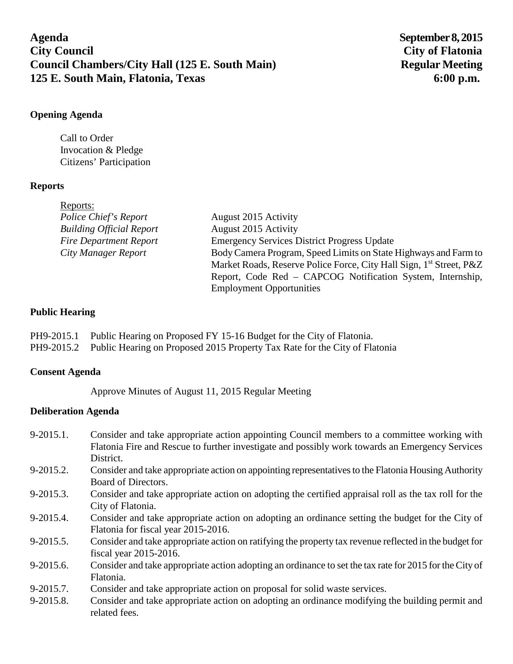**Agenda September 8, 2015 City Council City of Flatonia Council Chambers/City Hall (125 E. South Main)** Regular Meeting **125 E. South Main, Flatonia, Texas 6:00 p.m.**

### **Opening Agenda**

Call to Order Invocation & Pledge Citizens' Participation

# **Reports**

| Reports:                        |                                                                                 |
|---------------------------------|---------------------------------------------------------------------------------|
| Police Chief's Report           | August 2015 Activity                                                            |
| <b>Building Official Report</b> | August 2015 Activity                                                            |
| <b>Fire Department Report</b>   | <b>Emergency Services District Progress Update</b>                              |
| City Manager Report             | Body Camera Program, Speed Limits on State Highways and Farm to                 |
|                                 | Market Roads, Reserve Police Force, City Hall Sign, 1 <sup>st</sup> Street, P&Z |
|                                 | Report, Code Red – CAPCOG Notification System, Internship,                      |
|                                 | <b>Employment Opportunities</b>                                                 |

### **Public Hearing**

PH9-2015.1 Public Hearing on Proposed FY 15-16 Budget for the City of Flatonia. PH9-2015.2 Public Hearing on Proposed 2015 Property Tax Rate for the City of Flatonia

### **Consent Agenda**

Approve Minutes of August 11, 2015 Regular Meeting

# **Deliberation Agenda**

- 9-2015.1. Consider and take appropriate action appointing Council members to a committee working with Flatonia Fire and Rescue to further investigate and possibly work towards an Emergency Services District.
- 9-2015.2. Consider and take appropriate action on appointing representatives to the Flatonia Housing Authority Board of Directors.
- 9-2015.3. Consider and take appropriate action on adopting the certified appraisal roll as the tax roll for the City of Flatonia.
- 9-2015.4. Consider and take appropriate action on adopting an ordinance setting the budget for the City of Flatonia for fiscal year 2015-2016.
- 9-2015.5. Consider and take appropriate action on ratifying the property tax revenue reflected in the budget for fiscal year 2015-2016.
- 9-2015.6. Consider and take appropriate action adopting an ordinance to set the tax rate for 2015 for the City of Flatonia.
- 9-2015.7. Consider and take appropriate action on proposal for solid waste services.
- 9-2015.8. Consider and take appropriate action on adopting an ordinance modifying the building permit and related fees.